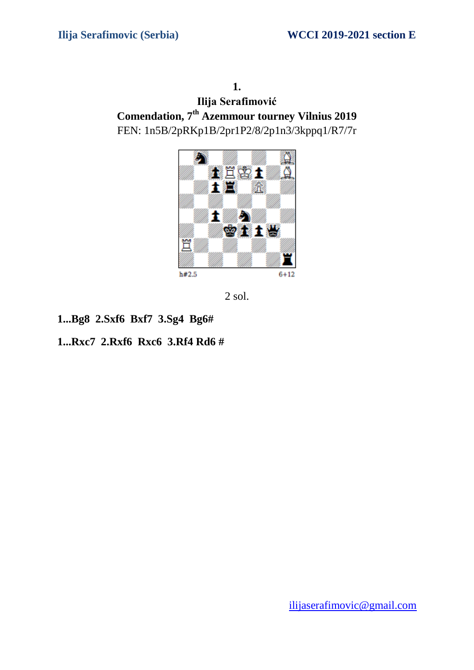**Ilija Serafimović Comendation, 7 th Azemmour tourney Vilnius 2019**  FEN: 1n5B/2pRKp1B/2pr1P2/8/2p1n3/3kppq1/R7/7r



2 sol.

**1...Bg8 2.Sxf6 Bxf7 3.Sg4 Bg6#**

## **1...Rxc7 2.Rxf6 Rxc6 3.Rf4 Rd6 #**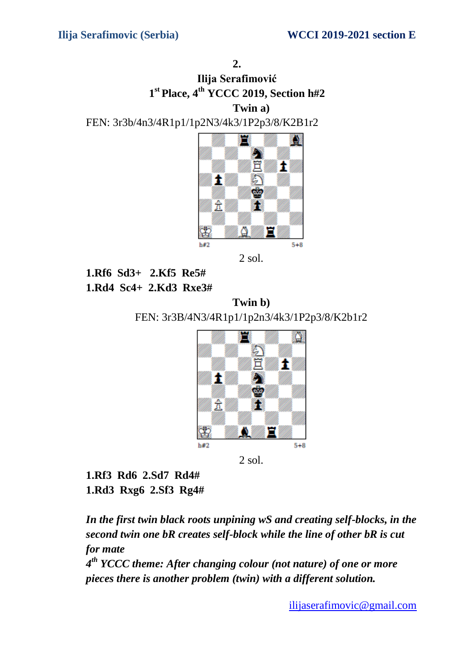# **Ilija Serafimović 1 st Place, 4 th YCCC 2019, Section h#2 Twin a)**

FEN: 3r3b/4n3/4R1p1/1p2N3/4k3/1P2p3/8/K2B1r2



2 sol.

**1.Rf6 Sd3+ 2.Kf5 Re5# 1.Rd4 Sc4+ 2.Kd3 Rxe3#**

**Twin b)**  FEN: 3r3B/4N3/4R1p1/1p2n3/4k3/1P2p3/8/K2b1r2



2 sol.

**1.Rf3 Rd6 2.Sd7 Rd4# 1.Rd3 Rxg6 2.Sf3 Rg4#**

*In the first twin black roots unpining wS and creating self-blocks, in the second twin one bR creates self-block while the line of other bR is cut for mate*

*4 th YCCC theme: After changing colour (not nature) of one or more pieces there is another problem (twin) with a different solution.*

[ilijaserafimovic@gmail.com](mailto:ilijaserafimovic@gmail.com)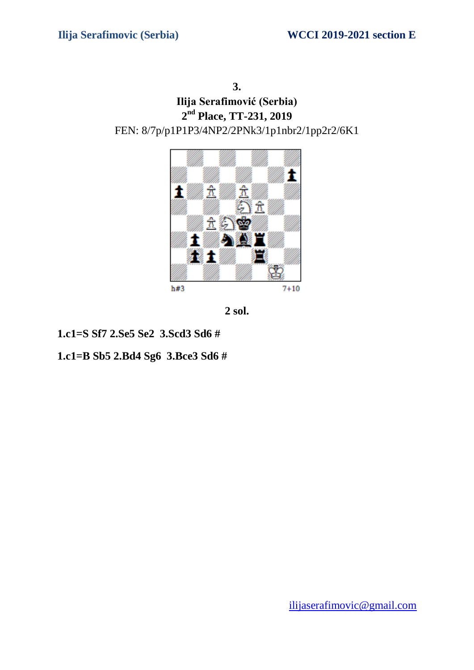**3. Ilija Serafimović (Serbia) 2 nd Place, TT-231, 2019**  FEN: 8/7p/p1P1P3/4NP2/2PNk3/1p1nbr2/1pp2r2/6K1



**2 sol.**

**1.c1=S Sf7 2.Se5 Se2 3.Scd3 Sd6 #**

**1.c1=B Sb5 2.Bd4 Sg6 3.Bce3 Sd6 #**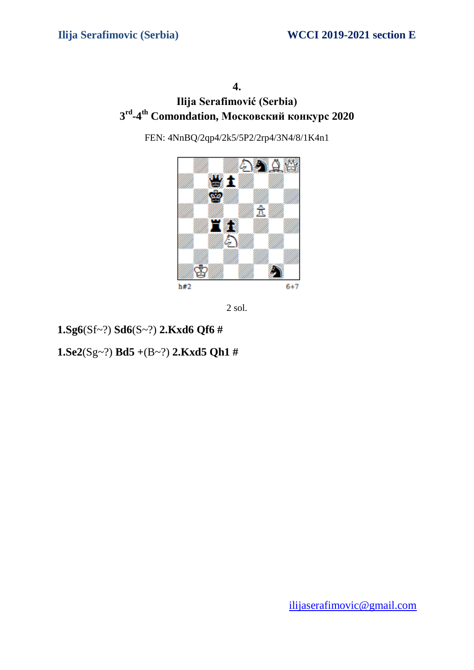# **Ilija Serafimović (Serbia) 3 rd -4 th Comondation, Московский конкурс 2020**

FEN: 4NnBQ/2qp4/2k5/5P2/2rp4/3N4/8/1K4n1





**1.Sg6**(Sf~?) **Sd6**(S~?) **2.Kxd6 Qf6 #**

**1.Se2**(Sg~?) **Bd5 +**(B~?) **2.Kxd5 Qh1 #**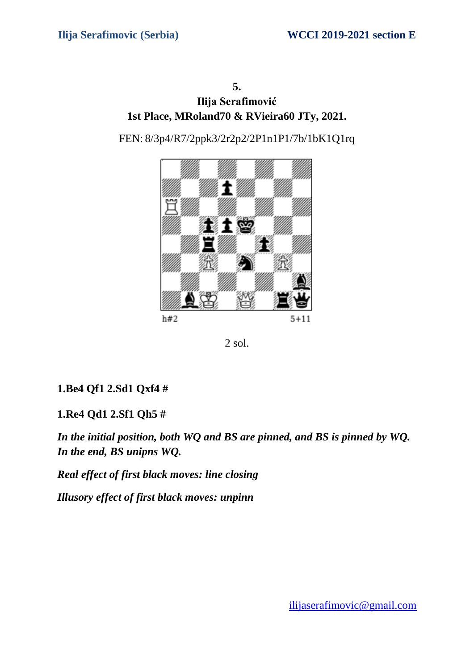# **Ilija Serafimović 1st Place, MRoland70 & RVieira60 JTy, 2021.**

FEN: 8/3p4/R7/2ppk3/2r2p2/2P1n1P1/7b/1bK1Q1rq





**1.Be4 Qf1 2.Sd1 Qxf4 #**

## **1.Re4 Qd1 2.Sf1 Qh5 #**

*In the initial position, both WQ and BS are pinned, and BS is pinned by WQ. In the end, BS unipns WQ.*

*Real effect of first black moves: line closing*

*Illusory effect of first black moves: unpinn*